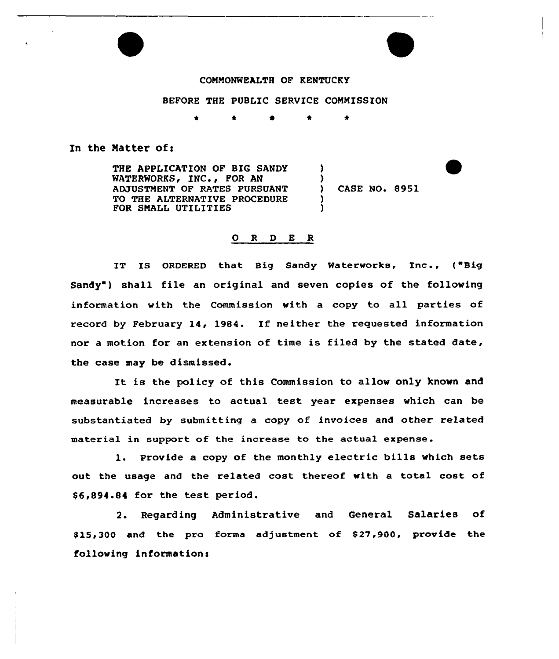

BEFORE THE PUBLIC SERVICE COMMISSION

 $\bullet$ ٠

## In the Matter of:

THE APPLICATION OF BIG SANDY WATERWORKS, INC., FOR AN ADJUSTMENT OF RATES PURSUANT TO THE ALTERNATIVE PROCEDURE FOR SMALL UTILITIES ) )<br>) ) CASE NO. 8951 ) )

## 0 R <sup>D</sup> E R

IT IS ORDERED that Big Sandy Waterworks, Inc., ("Big Sandy") shall file an original and seven copies of the following information with the Commission with a copy to all parties of record by February 14, 1984. If neither the requested information nor a motion for an extension of time is filed by the stated date, the case may be dismissed.

It is the policy of this Commission to allow only known and measurable increases to actual test year expenses which can be substantiated by submitting a copy of invoices and other related material in support of the increase to the actual expense.

1. Provide <sup>a</sup> copy of the monthly electric bills which sets out the usage and the related cost thereof with a total cost of \$ 6,894.84 for the test period.

2. Regarding Administrative and General Salaries of \$ 15,300 and the pro forma adjustment of 827,900, provide the following information: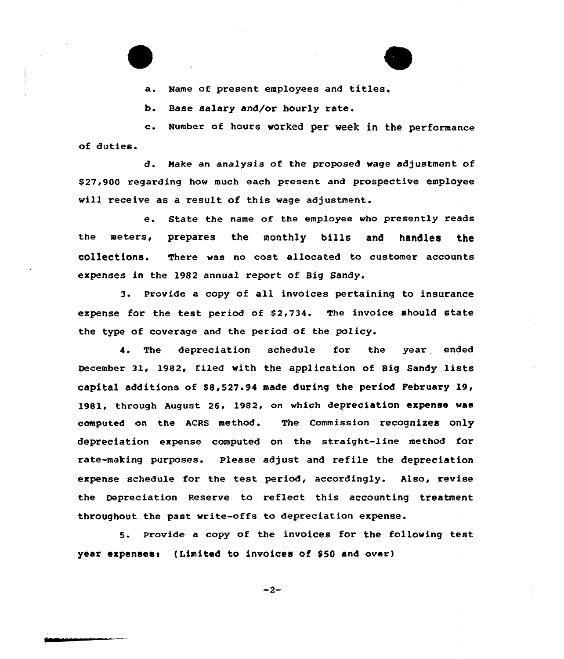a. Name of present employees and titles.

b. Base salary and/or hourly rate.

c. Number of hours worked per week in the performance of duties.

d. Make an analysis of the proposed wage adjustment of \$27,900 regarding how much each present and prospective employee will receive as a result of this wage adjustment.

e. State the name of the employee who presently reads the meters, prepares the monthly bills and handles the collections. There was no cost allocated to customer accounts expenses in the 1982 annual report of Big Sandy.

3. Provide a copy of all invoices pertaining to insurance expense for the test period of \$2,734. The invoice should state the type of coverage and the period of the policy.

4. The depreciation schedule for the year ended December 31, 1982, filed with the application of Big Sandy lists capital additions of \$8,527.94 made during the period February 19, 1981, through August 26, 1982, on which depreciation expense was computed on the ACRS method. The Commission recognizes only depreciation expense computed on the straight-Line method for rate-making purposes. Please adjust and refile the depreciatian expense schedule for the test period, accordingly. Also, revise the Depreciation Reserve to reflect this accounting treatment throughout the past write-offs to depreciation expense.

5. provide <sup>a</sup> copy of the invoices for the following test year expenses: (Limited to invoices of \$50 and over)

 $-2-$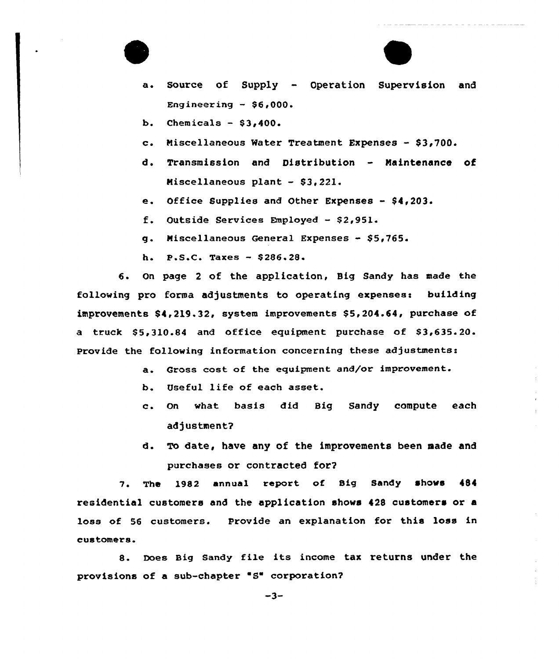

- a. Source of Supply Operation Supervision and Engineering  $-$  \$6,000.
- b. Chemicals  $-$  \$3,400.
- c. Miscellaneous Water Treatment Expenses \$3,700.
- d. Transmission and Distribution Naintenance of Miscellaneous plant - \$3,221.
- e. Office Supplies and Other Expenses \$4,203.
- f. Outside Services Employed \$2,951.
- g. Miscellaneous General Expenses \$5,765.
- h. P.S.C. Taxes \$ 286.28.

6. On page <sup>2</sup> of the application, Big Sandy has made the following pro forma adjustments to operating expenses: building improvements \$4,219.32, system improvements \$5,204.64, purchase of a truck \$5,310.84 and office equipment purchase of \$3,635.20. Provide the following information concerning these adjustments:

- a. Gross cost of the equipment and/or improvement.
- b. Useful life of each asset.
- c. On what basis did Big Sandy compute each adjustment?
- To date, have any of the improvements been made and d. purchases or contracted for?

7. The 1982 annual report of Big Sandy shows 484 residential customers and the application shows 428 customers or a loss of 56 customers. Provide an explanation for this loss in customers.

8. Does Big Sandy file its income tax returns under the provisions of a sub-chapter "S" corporation?